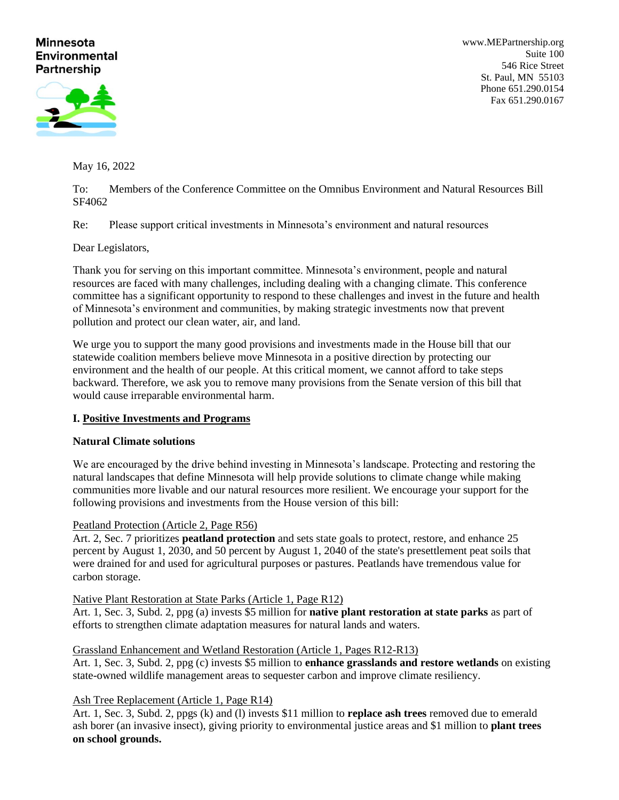# **Minnesota Environmental Partnership**

[www.MEPartnership.org](http://www.mepartnership.org/) Suite 100 546 Rice Street St. Paul, MN 55103 Phone 651.290.0154 Fax 651.290.0167



May 16, 2022

To: Members of the Conference Committee on the Omnibus Environment and Natural Resources Bill SF4062

Re: Please support critical investments in Minnesota's environment and natural resources

Dear Legislators,

Thank you for serving on this important committee. Minnesota's environment, people and natural resources are faced with many challenges, including dealing with a changing climate. This conference committee has a significant opportunity to respond to these challenges and invest in the future and health of Minnesota's environment and communities, by making strategic investments now that prevent pollution and protect our clean water, air, and land.

We urge you to support the many good provisions and investments made in the House bill that our statewide coalition members believe move Minnesota in a positive direction by protecting our environment and the health of our people. At this critical moment, we cannot afford to take steps backward. Therefore, we ask you to remove many provisions from the Senate version of this bill that would cause irreparable environmental harm.

# **I. Positive Investments and Programs**

## **Natural Climate solutions**

We are encouraged by the drive behind investing in Minnesota's landscape. Protecting and restoring the natural landscapes that define Minnesota will help provide solutions to climate change while making communities more livable and our natural resources more resilient. We encourage your support for the following provisions and investments from the House version of this bill:

## Peatland Protection (Article 2, Page R56)

Art. 2, Sec. 7 prioritizes **peatland protection** and sets state goals to protect, restore, and enhance 25 percent by August 1, 2030, and 50 percent by August 1, 2040 of the state's presettlement peat soils that were drained for and used for agricultural purposes or pastures. Peatlands have tremendous value for carbon storage.

# Native Plant Restoration at State Parks (Article 1, Page R12)

Art. 1, Sec. 3, Subd. 2, ppg (a) invests \$5 million for **native plant restoration at state parks** as part of efforts to strengthen climate adaptation measures for natural lands and waters.

# Grassland Enhancement and Wetland Restoration (Article 1, Pages R12-R13)

Art. 1, Sec. 3, Subd. 2, ppg (c) invests \$5 million to **enhance grasslands and restore wetlands** on existing state-owned wildlife management areas to sequester carbon and improve climate resiliency.

Ash Tree Replacement (Article 1, Page R14)

Art. 1, Sec. 3, Subd. 2, ppgs (k) and (l) invests \$11 million to **replace ash trees** removed due to emerald ash borer (an invasive insect), giving priority to environmental justice areas and \$1 million to **plant trees on school grounds.**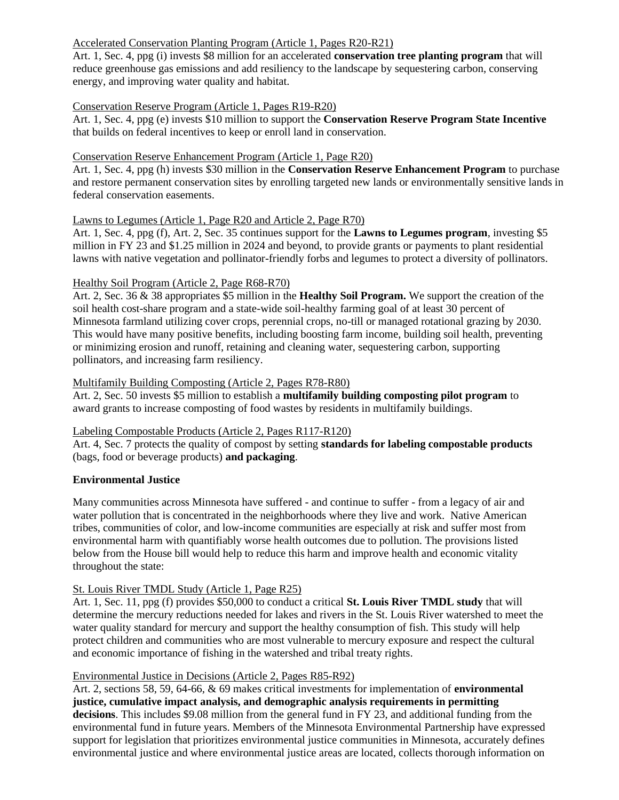# Accelerated Conservation Planting Program (Article 1, Pages R20-R21)

Art. 1, Sec. 4, ppg (i) invests \$8 million for an accelerated **conservation tree planting program** that will reduce greenhouse gas emissions and add resiliency to the landscape by sequestering carbon, conserving energy, and improving water quality and habitat.

# Conservation Reserve Program (Article 1, Pages R19-R20)

Art. 1, Sec. 4, ppg (e) invests \$10 million to support the **Conservation Reserve Program State Incentive** that builds on federal incentives to keep or enroll land in conservation.

## Conservation Reserve Enhancement Program (Article 1, Page R20)

Art. 1, Sec. 4, ppg (h) invests \$30 million in the **Conservation Reserve Enhancement Program** to purchase and restore permanent conservation sites by enrolling targeted new lands or environmentally sensitive lands in federal conservation easements.

## Lawns to Legumes (Article 1, Page R20 and Article 2, Page R70)

Art. 1, Sec. 4, ppg (f), Art. 2, Sec. 35 continues support for the **Lawns to Legumes program**, investing \$5 million in FY 23 and \$1.25 million in 2024 and beyond, to provide grants or payments to plant residential lawns with native vegetation and pollinator-friendly forbs and legumes to protect a diversity of pollinators.

## Healthy Soil Program (Article 2, Page R68-R70)

Art. 2, Sec. 36 & 38 appropriates \$5 million in the **Healthy Soil Program.** We support the creation of the soil health cost-share program and a state-wide soil-healthy farming goal of at least 30 percent of Minnesota farmland utilizing cover crops, perennial crops, no-till or managed rotational grazing by 2030. This would have many positive benefits, including boosting farm income, building soil health, preventing or minimizing erosion and runoff, retaining and cleaning water, sequestering carbon, supporting pollinators, and increasing farm resiliency.

# Multifamily Building Composting (Article 2, Pages R78-R80)

Art. 2, Sec. 50 invests \$5 million to establish a **multifamily building composting pilot program** to award grants to increase composting of food wastes by residents in multifamily buildings.

## Labeling Compostable Products (Article 2, Pages R117-R120)

Art. 4, Sec. 7 protects the quality of compost by setting **standards for labeling compostable products** (bags, food or beverage products) **and packaging**.

## **Environmental Justice**

Many communities across Minnesota have suffered - and continue to suffer - from a legacy of air and water pollution that is concentrated in the neighborhoods where they live and work. Native American tribes, communities of color, and low-income communities are especially at risk and suffer most from environmental harm with quantifiably worse health outcomes due to pollution. The provisions listed below from the House bill would help to reduce this harm and improve health and economic vitality throughout the state:

## St. Louis River TMDL Study (Article 1, Page R25)

Art. 1, Sec. 11, ppg (f) provides \$50,000 to conduct a critical **St. Louis River TMDL study** that will determine the mercury reductions needed for lakes and rivers in the St. Louis River watershed to meet the water quality standard for mercury and support the healthy consumption of fish. This study will help protect children and communities who are most vulnerable to mercury exposure and respect the cultural and economic importance of fishing in the watershed and tribal treaty rights.

## Environmental Justice in Decisions (Article 2, Pages R85-R92)

Art. 2, sections 58, 59, 64-66, & 69 makes critical investments for implementation of **environmental justice, cumulative impact analysis, and demographic analysis requirements in permitting decisions**. This includes \$9.08 million from the general fund in FY 23, and additional funding from the environmental fund in future years. Members of the Minnesota Environmental Partnership have expressed support for legislation that prioritizes environmental justice communities in Minnesota, accurately defines environmental justice and where environmental justice areas are located, collects thorough information on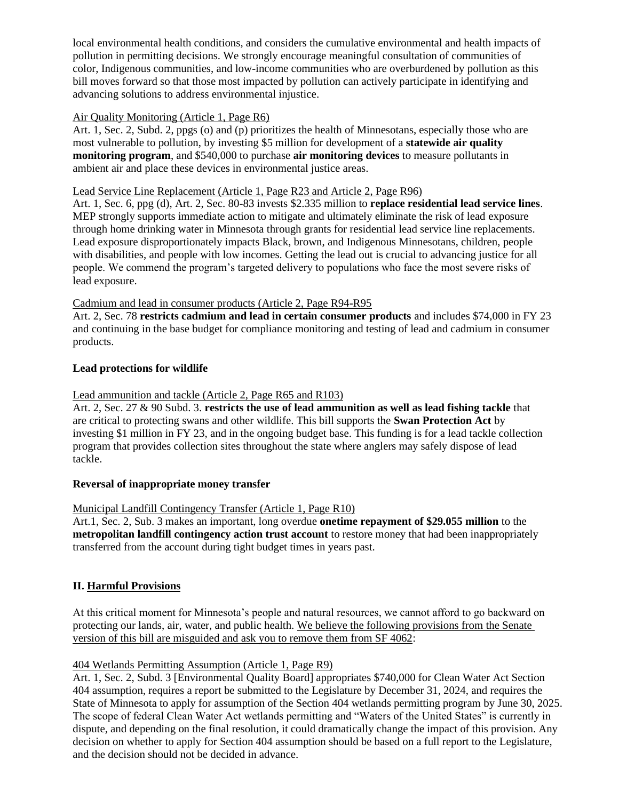local environmental health conditions, and considers the cumulative environmental and health impacts of pollution in permitting decisions. We strongly encourage meaningful consultation of communities of color, Indigenous communities, and low-income communities who are overburdened by pollution as this bill moves forward so that those most impacted by pollution can actively participate in identifying and advancing solutions to address environmental injustice.

# Air Quality Monitoring (Article 1, Page R6)

Art. 1, Sec. 2, Subd. 2, ppgs (o) and (p) prioritizes the health of Minnesotans, especially those who are most vulnerable to pollution, by investing \$5 million for development of a **statewide air quality monitoring program**, and \$540,000 to purchase **air monitoring devices** to measure pollutants in ambient air and place these devices in environmental justice areas.

# Lead Service Line Replacement (Article 1, Page R23 and Article 2, Page R96)

Art. 1, Sec. 6, ppg (d), Art. 2, Sec. 80-83 invests \$2.335 million to **replace residential lead service lines**. MEP strongly supports immediate action to mitigate and ultimately eliminate the risk of lead exposure through home drinking water in Minnesota through grants for residential lead service line replacements. Lead exposure disproportionately impacts Black, brown, and Indigenous Minnesotans, children, people with disabilities, and people with low incomes. Getting the lead out is crucial to advancing justice for all people. We commend the program's targeted delivery to populations who face the most severe risks of lead exposure.

# Cadmium and lead in consumer products (Article 2, Page R94-R95

Art. 2, Sec. 78 **restricts cadmium and lead in certain consumer products** and includes \$74,000 in FY 23 and continuing in the base budget for compliance monitoring and testing of lead and cadmium in consumer products.

# **Lead protections for wildlife**

# Lead ammunition and tackle (Article 2, Page R65 and R103)

Art. 2, Sec. 27 & 90 Subd. 3. **restricts the use of lead ammunition as well as lead fishing tackle** that are critical to protecting swans and other wildlife. This bill supports the **Swan Protection Act** by investing \$1 million in FY 23, and in the ongoing budget base. This funding is for a lead tackle collection program that provides collection sites throughout the state where anglers may safely dispose of lead tackle.

# **Reversal of inappropriate money transfer**

## Municipal Landfill Contingency Transfer (Article 1, Page R10)

Art.1, Sec. 2, Sub. 3 makes an important, long overdue **onetime repayment of \$29.055 million** to the **metropolitan landfill contingency action trust account** to restore money that had been inappropriately transferred from the account during tight budget times in years past.

# **II. Harmful Provisions**

At this critical moment for Minnesota's people and natural resources, we cannot afford to go backward on protecting our lands, air, water, and public health. We believe the following provisions from the Senate version of this bill are misguided and ask you to remove them from SF 4062:

## 404 Wetlands Permitting Assumption (Article 1, Page R9)

Art. 1, Sec. 2, Subd. 3 [Environmental Quality Board] appropriates \$740,000 for Clean Water Act Section 404 assumption, requires a report be submitted to the Legislature by December 31, 2024, and requires the State of Minnesota to apply for assumption of the Section 404 wetlands permitting program by June 30, 2025. The scope of federal Clean Water Act wetlands permitting and "Waters of the United States" is currently in dispute, and depending on the final resolution, it could dramatically change the impact of this provision. Any decision on whether to apply for Section 404 assumption should be based on a full report to the Legislature, and the decision should not be decided in advance.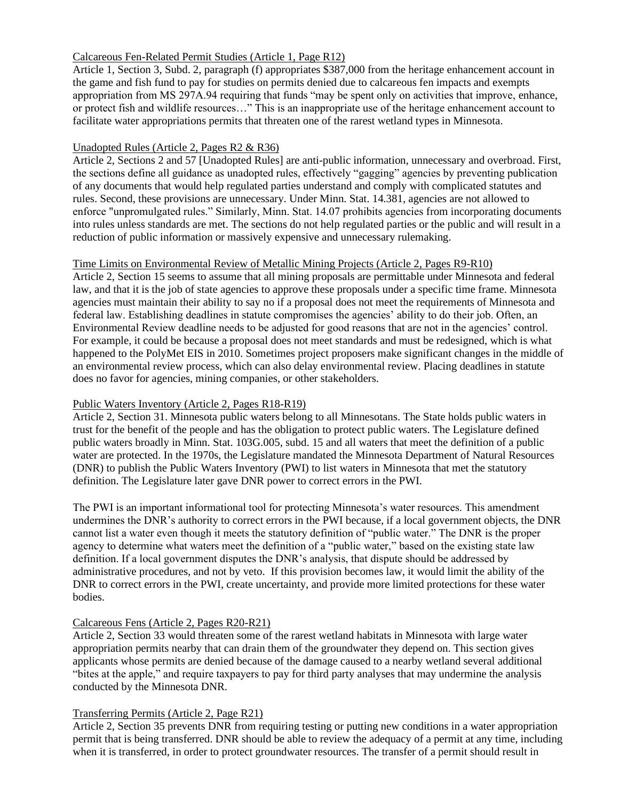# Calcareous Fen-Related Permit Studies (Article 1, Page R12)

Article 1, Section 3, Subd. 2, paragraph (f) appropriates \$387,000 from the heritage enhancement account in the game and fish fund to pay for studies on permits denied due to calcareous fen impacts and exempts appropriation from MS 297A.94 requiring that funds "may be spent only on activities that improve, enhance, or protect fish and wildlife resources…" This is an inappropriate use of the heritage enhancement account to facilitate water appropriations permits that threaten one of the rarest wetland types in Minnesota.

# Unadopted Rules (Article 2, Pages R2 & R36)

Article 2, Sections 2 and 57 [Unadopted Rules] are anti-public information, unnecessary and overbroad. First, the sections define all guidance as unadopted rules, effectively "gagging" agencies by preventing publication of any documents that would help regulated parties understand and comply with complicated statutes and rules. Second, these provisions are unnecessary. Under Minn. Stat. 14.381, agencies are not allowed to enforce "unpromulgated rules." Similarly, Minn. Stat. 14.07 prohibits agencies from incorporating documents into rules unless standards are met. The sections do not help regulated parties or the public and will result in a reduction of public information or massively expensive and unnecessary rulemaking.

# Time Limits on Environmental Review of Metallic Mining Projects (Article 2, Pages R9-R10)

Article 2, Section 15 seems to assume that all mining proposals are permittable under Minnesota and federal law, and that it is the job of state agencies to approve these proposals under a specific time frame. Minnesota agencies must maintain their ability to say no if a proposal does not meet the requirements of Minnesota and federal law. Establishing deadlines in statute compromises the agencies' ability to do their job. Often, an Environmental Review deadline needs to be adjusted for good reasons that are not in the agencies' control. For example, it could be because a proposal does not meet standards and must be redesigned, which is what happened to the PolyMet EIS in 2010. Sometimes project proposers make significant changes in the middle of an environmental review process, which can also delay environmental review. Placing deadlines in statute does no favor for agencies, mining companies, or other stakeholders.

# Public Waters Inventory (Article 2, Pages R18-R19)

Article 2, Section 31. Minnesota public waters belong to all Minnesotans. The State holds public waters in trust for the benefit of the people and has the obligation to protect public waters. The Legislature defined public waters broadly in Minn. Stat. 103G.005, subd. 15 and all waters that meet the definition of a public water are protected. In the 1970s, the Legislature mandated the Minnesota Department of Natural Resources (DNR) to publish the Public Waters Inventory (PWI) to list waters in Minnesota that met the statutory definition. The Legislature later gave DNR power to correct errors in the PWI.

The PWI is an important informational tool for protecting Minnesota's water resources. This amendment undermines the DNR's authority to correct errors in the PWI because, if a local government objects, the DNR cannot list a water even though it meets the statutory definition of "public water." The DNR is the proper agency to determine what waters meet the definition of a "public water," based on the existing state law definition. If a local government disputes the DNR's analysis, that dispute should be addressed by administrative procedures, and not by veto. If this provision becomes law, it would limit the ability of the DNR to correct errors in the PWI, create uncertainty, and provide more limited protections for these water bodies.

# Calcareous Fens (Article 2, Pages R20-R21)

Article 2, Section 33 would threaten some of the rarest wetland habitats in Minnesota with large water appropriation permits nearby that can drain them of the groundwater they depend on. This section gives applicants whose permits are denied because of the damage caused to a nearby wetland several additional "bites at the apple," and require taxpayers to pay for third party analyses that may undermine the analysis conducted by the Minnesota DNR.

# Transferring Permits (Article 2, Page R21)

Article 2, Section 35 prevents DNR from requiring testing or putting new conditions in a water appropriation permit that is being transferred. DNR should be able to review the adequacy of a permit at any time, including when it is transferred, in order to protect groundwater resources. The transfer of a permit should result in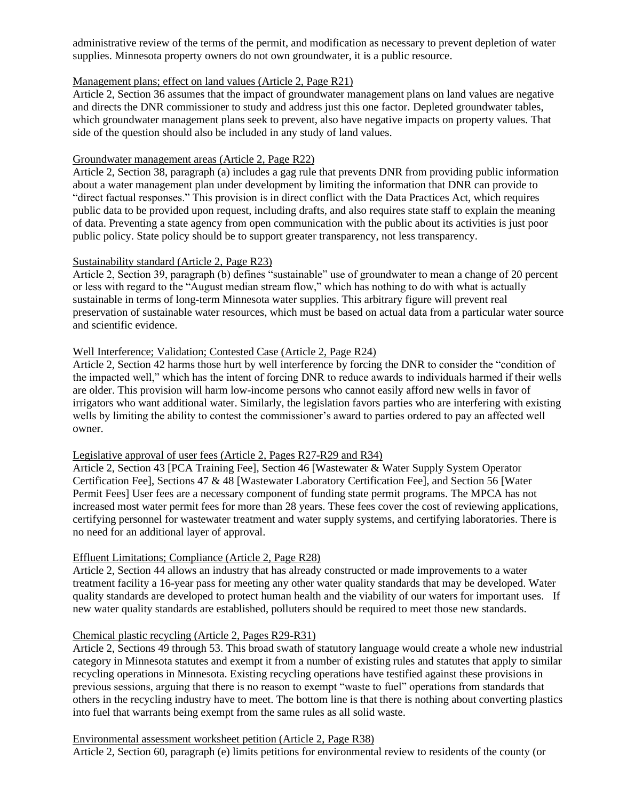administrative review of the terms of the permit, and modification as necessary to prevent depletion of water supplies. Minnesota property owners do not own groundwater, it is a public resource.

#### Management plans; effect on land values (Article 2, Page R21)

Article 2, Section 36 assumes that the impact of groundwater management plans on land values are negative and directs the DNR commissioner to study and address just this one factor. Depleted groundwater tables, which groundwater management plans seek to prevent, also have negative impacts on property values. That side of the question should also be included in any study of land values.

#### Groundwater management areas (Article 2, Page R22)

Article 2, Section 38, paragraph (a) includes a gag rule that prevents DNR from providing public information about a water management plan under development by limiting the information that DNR can provide to "direct factual responses." This provision is in direct conflict with the Data Practices Act, which requires public data to be provided upon request, including drafts, and also requires state staff to explain the meaning of data. Preventing a state agency from open communication with the public about its activities is just poor public policy. State policy should be to support greater transparency, not less transparency.

#### Sustainability standard (Article 2, Page R23)

Article 2, Section 39, paragraph (b) defines "sustainable" use of groundwater to mean a change of 20 percent or less with regard to the "August median stream flow," which has nothing to do with what is actually sustainable in terms of long-term Minnesota water supplies. This arbitrary figure will prevent real preservation of sustainable water resources, which must be based on actual data from a particular water source and scientific evidence.

# Well Interference; Validation; Contested Case (Article 2, Page R24)

Article 2, Section 42 harms those hurt by well interference by forcing the DNR to consider the "condition of the impacted well," which has the intent of forcing DNR to reduce awards to individuals harmed if their wells are older. This provision will harm low-income persons who cannot easily afford new wells in favor of irrigators who want additional water. Similarly, the legislation favors parties who are interfering with existing wells by limiting the ability to contest the commissioner's award to parties ordered to pay an affected well owner.

## Legislative approval of user fees (Article 2, Pages R27-R29 and R34)

Article 2, Section 43 [PCA Training Fee], Section 46 [Wastewater & Water Supply System Operator Certification Fee], Sections 47 & 48 [Wastewater Laboratory Certification Fee], and Section 56 [Water Permit Fees] User fees are a necessary component of funding state permit programs. The MPCA has not increased most water permit fees for more than 28 years. These fees cover the cost of reviewing applications, certifying personnel for wastewater treatment and water supply systems, and certifying laboratories. There is no need for an additional layer of approval.

## Effluent Limitations; Compliance (Article 2, Page R28)

Article 2, Section 44 allows an industry that has already constructed or made improvements to a water treatment facility a 16-year pass for meeting any other water quality standards that may be developed. Water quality standards are developed to protect human health and the viability of our waters for important uses. If new water quality standards are established, polluters should be required to meet those new standards.

## Chemical plastic recycling (Article 2, Pages R29-R31)

Article 2, Sections 49 through 53. This broad swath of statutory language would create a whole new industrial category in Minnesota statutes and exempt it from a number of existing rules and statutes that apply to similar recycling operations in Minnesota. Existing recycling operations have testified against these provisions in previous sessions, arguing that there is no reason to exempt "waste to fuel" operations from standards that others in the recycling industry have to meet. The bottom line is that there is nothing about converting plastics into fuel that warrants being exempt from the same rules as all solid waste.

#### Environmental assessment worksheet petition (Article 2, Page R38)

Article 2, Section 60, paragraph (e) limits petitions for environmental review to residents of the county (or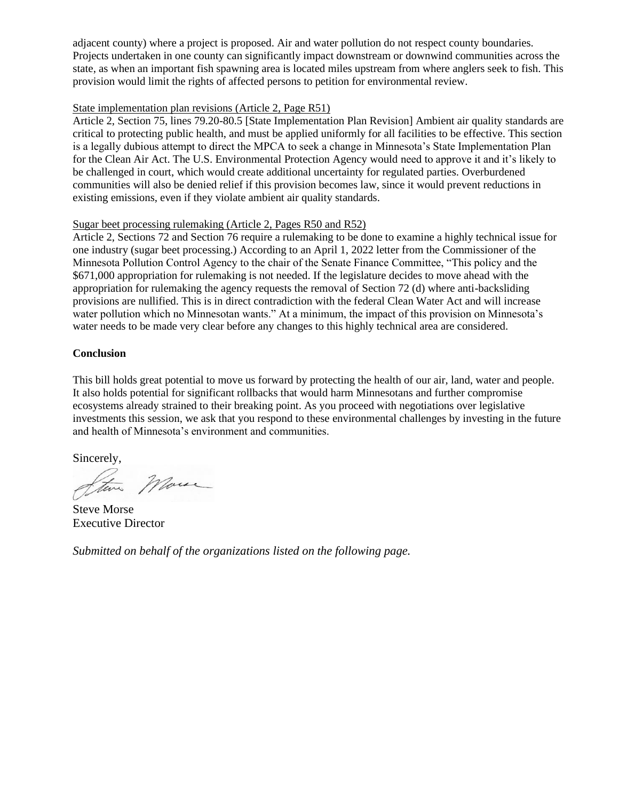adjacent county) where a project is proposed. Air and water pollution do not respect county boundaries. Projects undertaken in one county can significantly impact downstream or downwind communities across the state, as when an important fish spawning area is located miles upstream from where anglers seek to fish. This provision would limit the rights of affected persons to petition for environmental review.

# State implementation plan revisions (Article 2, Page R51)

Article 2, Section 75, lines 79.20-80.5 [State Implementation Plan Revision] Ambient air quality standards are critical to protecting public health, and must be applied uniformly for all facilities to be effective. This section is a legally dubious attempt to direct the MPCA to seek a change in Minnesota's State Implementation Plan for the Clean Air Act. The U.S. Environmental Protection Agency would need to approve it and it's likely to be challenged in court, which would create additional uncertainty for regulated parties. Overburdened communities will also be denied relief if this provision becomes law, since it would prevent reductions in existing emissions, even if they violate ambient air quality standards.

## Sugar beet processing rulemaking (Article 2, Pages R50 and R52)

Article 2, Sections 72 and Section 76 require a rulemaking to be done to examine a highly technical issue for one industry (sugar beet processing.) According to an April 1, 2022 letter from the Commissioner of the Minnesota Pollution Control Agency to the chair of the Senate Finance Committee, "This policy and the \$671,000 appropriation for rulemaking is not needed. If the legislature decides to move ahead with the appropriation for rulemaking the agency requests the removal of Section 72 (d) where anti-backsliding provisions are nullified. This is in direct contradiction with the federal Clean Water Act and will increase water pollution which no Minnesotan wants." At a minimum, the impact of this provision on Minnesota's water needs to be made very clear before any changes to this highly technical area are considered.

## **Conclusion**

This bill holds great potential to move us forward by protecting the health of our air, land, water and people. It also holds potential for significant rollbacks that would harm Minnesotans and further compromise ecosystems already strained to their breaking point. As you proceed with negotiations over legislative investments this session, we ask that you respond to these environmental challenges by investing in the future and health of Minnesota's environment and communities.

Sincerely,

Marin

Steve Morse Executive Director

*Submitted on behalf of the organizations listed on the following page.*